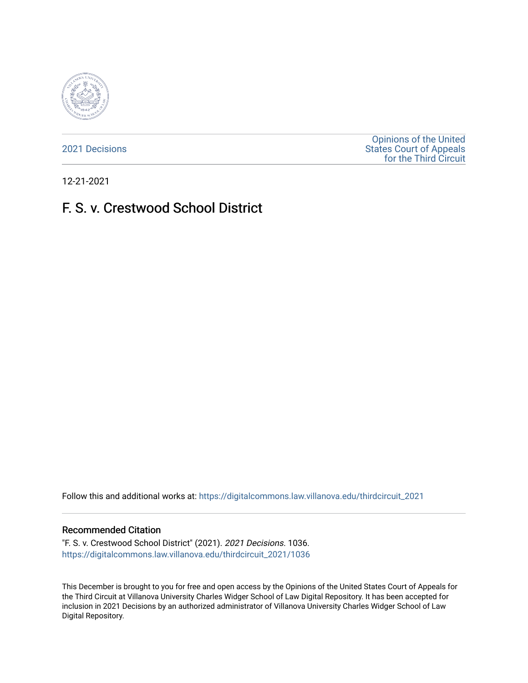

[2021 Decisions](https://digitalcommons.law.villanova.edu/thirdcircuit_2021)

[Opinions of the United](https://digitalcommons.law.villanova.edu/thirdcircuit)  [States Court of Appeals](https://digitalcommons.law.villanova.edu/thirdcircuit)  [for the Third Circuit](https://digitalcommons.law.villanova.edu/thirdcircuit) 

12-21-2021

# F. S. v. Crestwood School District

Follow this and additional works at: [https://digitalcommons.law.villanova.edu/thirdcircuit\\_2021](https://digitalcommons.law.villanova.edu/thirdcircuit_2021?utm_source=digitalcommons.law.villanova.edu%2Fthirdcircuit_2021%2F1036&utm_medium=PDF&utm_campaign=PDFCoverPages) 

#### Recommended Citation

"F. S. v. Crestwood School District" (2021). 2021 Decisions. 1036. [https://digitalcommons.law.villanova.edu/thirdcircuit\\_2021/1036](https://digitalcommons.law.villanova.edu/thirdcircuit_2021/1036?utm_source=digitalcommons.law.villanova.edu%2Fthirdcircuit_2021%2F1036&utm_medium=PDF&utm_campaign=PDFCoverPages) 

This December is brought to you for free and open access by the Opinions of the United States Court of Appeals for the Third Circuit at Villanova University Charles Widger School of Law Digital Repository. It has been accepted for inclusion in 2021 Decisions by an authorized administrator of Villanova University Charles Widger School of Law Digital Repository.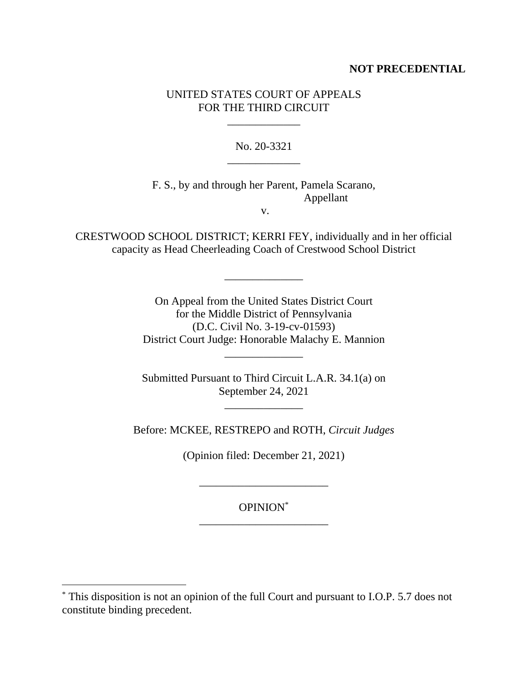## **NOT PRECEDENTIAL**

## UNITED STATES COURT OF APPEALS FOR THE THIRD CIRCUIT

\_\_\_\_\_\_\_\_\_\_\_\_\_

No. 20-3321 \_\_\_\_\_\_\_\_\_\_\_\_\_

F. S., by and through her Parent, Pamela Scarano, Appellant

v.

CRESTWOOD SCHOOL DISTRICT; KERRI FEY, individually and in her official capacity as Head Cheerleading Coach of Crestwood School District

\_\_\_\_\_\_\_\_\_\_\_\_\_\_

On Appeal from the United States District Court for the Middle District of Pennsylvania (D.C. Civil No. 3-19-cv-01593) District Court Judge: Honorable Malachy E. Mannion

Submitted Pursuant to Third Circuit L.A.R. 34.1(a) on September 24, 2021

\_\_\_\_\_\_\_\_\_\_\_\_\_\_

\_\_\_\_\_\_\_\_\_\_\_\_\_\_

Before: MCKEE, RESTREPO and ROTH, *Circuit Judges*

(Opinion filed: December 21, 2021)

\_\_\_\_\_\_\_\_\_\_\_\_\_\_\_\_\_\_\_\_\_\_\_

OPINION\* \_\_\_\_\_\_\_\_\_\_\_\_\_\_\_\_\_\_\_\_\_\_\_

<sup>\*</sup> This disposition is not an opinion of the full Court and pursuant to I.O.P. 5.7 does not constitute binding precedent.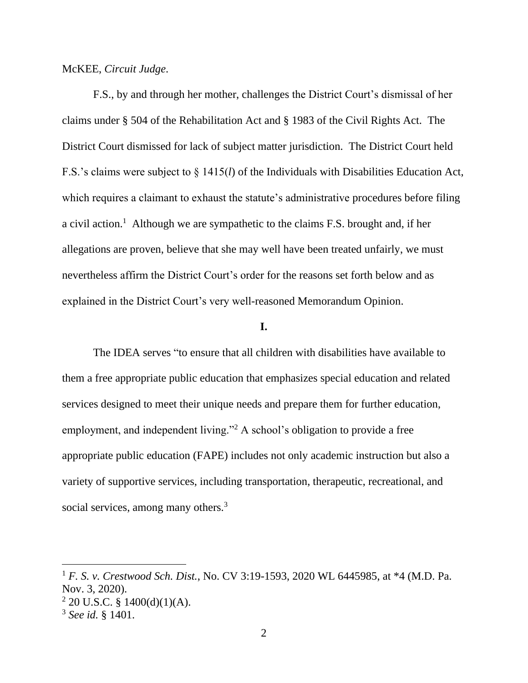McKEE, *Circuit Judge*.

F.S., by and through her mother, challenges the District Court's dismissal of her claims under § 504 of the Rehabilitation Act and § 1983 of the Civil Rights Act. The District Court dismissed for lack of subject matter jurisdiction. The District Court held F.S.'s claims were subject to § 1415(*l*) of the Individuals with Disabilities Education Act, which requires a claimant to exhaust the statute's administrative procedures before filing a civil action.<sup>1</sup> Although we are sympathetic to the claims F.S. brought and, if her allegations are proven, believe that she may well have been treated unfairly, we must nevertheless affirm the District Court's order for the reasons set forth below and as explained in the District Court's very well-reasoned Memorandum Opinion.

#### **I.**

The IDEA serves "to ensure that all children with disabilities have available to them a free appropriate public education that emphasizes special education and related services designed to meet their unique needs and prepare them for further education, employment, and independent living."<sup>2</sup> A school's obligation to provide a free appropriate public education (FAPE) includes not only academic instruction but also a variety of supportive services, including transportation, therapeutic, recreational, and social services, among many others.<sup>3</sup>

<sup>1</sup> *F. S. v. Crestwood Sch. Dist.*, No. CV 3:19-1593, 2020 WL 6445985, at \*4 (M.D. Pa. Nov. 3, 2020).

 $2$  20 U.S.C. § 1400(d)(1)(A).

<sup>3</sup> *See id.* § 1401.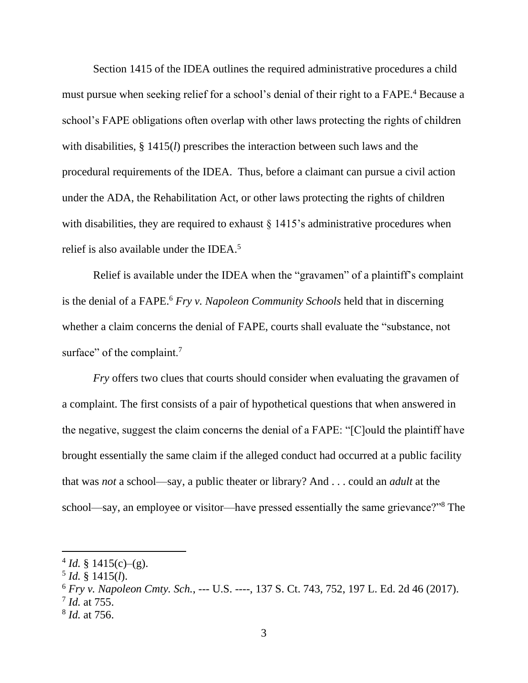Section 1415 of the IDEA outlines the required administrative procedures a child must pursue when seeking relief for a school's denial of their right to a FAPE. <sup>4</sup> Because a school's FAPE obligations often overlap with other laws protecting the rights of children with disabilities, § 1415(*l*) prescribes the interaction between such laws and the procedural requirements of the IDEA. Thus, before a claimant can pursue a civil action under the ADA, the Rehabilitation Act, or other laws protecting the rights of children with disabilities, they are required to exhaust  $\S 1415$ 's administrative procedures when relief is also available under the IDEA.<sup>5</sup>

Relief is available under the IDEA when the "gravamen" of a plaintiff's complaint is the denial of a FAPE.<sup>6</sup> *Fry v. Napoleon Community Schools* held that in discerning whether a claim concerns the denial of FAPE, courts shall evaluate the "substance, not surface" of the complaint.<sup>7</sup>

*Fry* offers two clues that courts should consider when evaluating the gravamen of a complaint. The first consists of a pair of hypothetical questions that when answered in the negative, suggest the claim concerns the denial of a FAPE: "[C]ould the plaintiff have brought essentially the same claim if the alleged conduct had occurred at a public facility that was *not* a school—say, a public theater or library? And . . . could an *adult* at the school—say, an employee or visitor—have pressed essentially the same grievance?"<sup>8</sup> The

 $4$  *Id.* § 1415(c)–(g).

<sup>5</sup> *Id.* § 1415(*l*).

<sup>6</sup> *Fry v. Napoleon Cmty. Sch.*, --- U.S. ----, 137 S. Ct. 743, 752, 197 L. Ed. 2d 46 (2017). 7 *Id.* at 755.

<sup>8</sup> *Id.* at 756.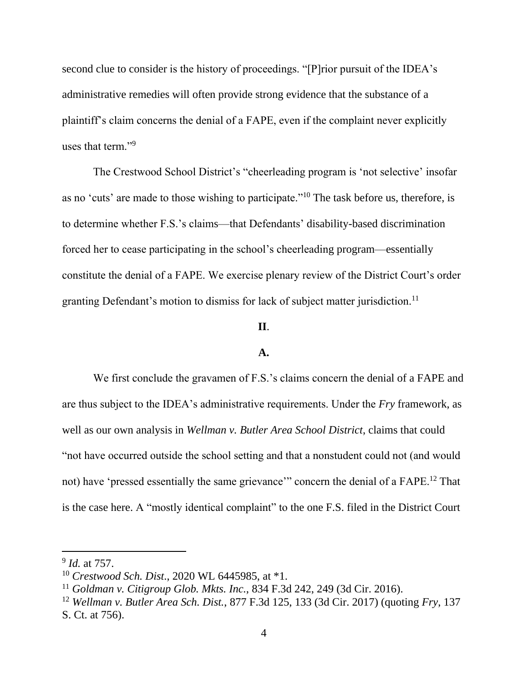second clue to consider is the history of proceedings. "[P]rior pursuit of the IDEA's administrative remedies will often provide strong evidence that the substance of a plaintiff's claim concerns the denial of a FAPE, even if the complaint never explicitly uses that term."<sup>9</sup>

The Crestwood School District's "cheerleading program is 'not selective' insofar as no 'cuts' are made to those wishing to participate."<sup>10</sup> The task before us, therefore, is to determine whether F.S.'s claims—that Defendants' disability-based discrimination forced her to cease participating in the school's cheerleading program—essentially constitute the denial of a FAPE. We exercise plenary review of the District Court's order granting Defendant's motion to dismiss for lack of subject matter jurisdiction.<sup>11</sup>

### **II**.

#### **A.**

We first conclude the gravamen of F.S.'s claims concern the denial of a FAPE and are thus subject to the IDEA's administrative requirements. Under the *Fry* framework, as well as our own analysis in *Wellman v. Butler Area School District*, claims that could "not have occurred outside the school setting and that a nonstudent could not (and would not) have 'pressed essentially the same grievance'" concern the denial of a FAPE.<sup>12</sup> That is the case here. A "mostly identical complaint" to the one F.S. filed in the District Court

<sup>9</sup> *Id.* at 757.

<sup>10</sup> *Crestwood Sch. Dist*., 2020 WL 6445985, at \*1.

<sup>11</sup> *Goldman v. Citigroup Glob. Mkts. Inc.*, 834 F.3d 242, 249 (3d Cir. 2016).

<sup>12</sup> *Wellman v. Butler Area Sch. Dist.*, 877 F.3d 125, 133 (3d Cir. 2017) (quoting *Fry*, 137 S. Ct. at 756).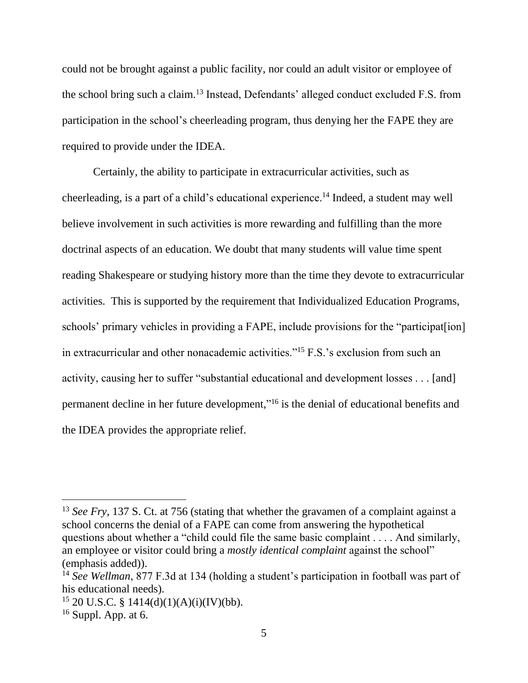could not be brought against a public facility, nor could an adult visitor or employee of the school bring such a claim.<sup>13</sup> Instead, Defendants' alleged conduct excluded F.S. from participation in the school's cheerleading program, thus denying her the FAPE they are required to provide under the IDEA.

Certainly, the ability to participate in extracurricular activities, such as cheerleading, is a part of a child's educational experience.<sup>14</sup> Indeed, a student may well believe involvement in such activities is more rewarding and fulfilling than the more doctrinal aspects of an education. We doubt that many students will value time spent reading Shakespeare or studying history more than the time they devote to extracurricular activities. This is supported by the requirement that Individualized Education Programs, schools' primary vehicles in providing a FAPE, include provisions for the "participat[ion] in extracurricular and other nonacademic activities."<sup>15</sup> F.S.'s exclusion from such an activity, causing her to suffer "substantial educational and development losses . . . [and] permanent decline in her future development,"<sup>16</sup> is the denial of educational benefits and the IDEA provides the appropriate relief.

<sup>&</sup>lt;sup>13</sup> *See Fry*, 137 S. Ct. at 756 (stating that whether the gravamen of a complaint against a school concerns the denial of a FAPE can come from answering the hypothetical questions about whether a "child could file the same basic complaint . . . . And similarly, an employee or visitor could bring a *mostly identical complaint* against the school" (emphasis added)).

<sup>14</sup> *See Wellman*, 877 F.3d at 134 (holding a student's participation in football was part of his educational needs).

 $15$  20 U.S.C. § 1414(d)(1)(A)(i)(IV)(bb).

 $16$  Suppl. App. at 6.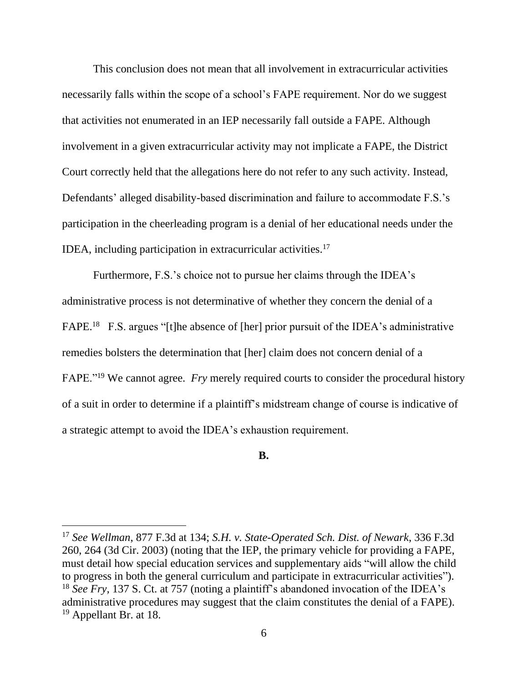This conclusion does not mean that all involvement in extracurricular activities necessarily falls within the scope of a school's FAPE requirement. Nor do we suggest that activities not enumerated in an IEP necessarily fall outside a FAPE. Although involvement in a given extracurricular activity may not implicate a FAPE, the District Court correctly held that the allegations here do not refer to any such activity. Instead, Defendants' alleged disability-based discrimination and failure to accommodate F.S.'s participation in the cheerleading program is a denial of her educational needs under the IDEA, including participation in extracurricular activities.<sup>17</sup>

Furthermore, F.S.'s choice not to pursue her claims through the IDEA's administrative process is not determinative of whether they concern the denial of a FAPE.<sup>18</sup> F.S. argues "[t]he absence of [her] prior pursuit of the IDEA's administrative remedies bolsters the determination that [her] claim does not concern denial of a FAPE."<sup>19</sup> We cannot agree. *Fry* merely required courts to consider the procedural history of a suit in order to determine if a plaintiff's midstream change of course is indicative of a strategic attempt to avoid the IDEA's exhaustion requirement.

**B.**

<sup>17</sup> *See Wellman*, 877 F.3d at 134; *S.H. v. State-Operated Sch. Dist. of Newark*, 336 F.3d 260, 264 (3d Cir. 2003) (noting that the IEP, the primary vehicle for providing a FAPE, must detail how special education services and supplementary aids "will allow the child to progress in both the general curriculum and participate in extracurricular activities"). <sup>18</sup> *See Fry*, 137 S. Ct. at 757 (noting a plaintiff's abandoned invocation of the IDEA's administrative procedures may suggest that the claim constitutes the denial of a FAPE). <sup>19</sup> Appellant Br. at 18.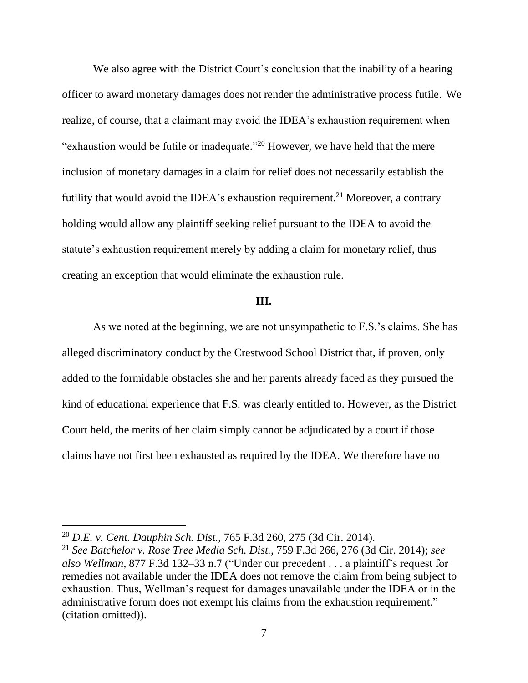We also agree with the District Court's conclusion that the inability of a hearing officer to award monetary damages does not render the administrative process futile. We realize, of course, that a claimant may avoid the IDEA's exhaustion requirement when "exhaustion would be futile or inadequate."<sup>20</sup> However, we have held that the mere inclusion of monetary damages in a claim for relief does not necessarily establish the futility that would avoid the IDEA's exhaustion requirement.<sup>21</sup> Moreover, a contrary holding would allow any plaintiff seeking relief pursuant to the IDEA to avoid the statute's exhaustion requirement merely by adding a claim for monetary relief, thus creating an exception that would eliminate the exhaustion rule.

#### **III.**

As we noted at the beginning, we are not unsympathetic to F.S.'s claims. She has alleged discriminatory conduct by the Crestwood School District that, if proven, only added to the formidable obstacles she and her parents already faced as they pursued the kind of educational experience that F.S. was clearly entitled to. However, as the District Court held, the merits of her claim simply cannot be adjudicated by a court if those claims have not first been exhausted as required by the IDEA. We therefore have no

<sup>20</sup> *D.E. v. Cent. Dauphin Sch. Dist.*, 765 F.3d 260, 275 (3d Cir. 2014).

<sup>21</sup> *See Batchelor v. Rose Tree Media Sch. Dist.*, 759 F.3d 266, 276 (3d Cir. 2014); *see also Wellman*, 877 F.3d 132–33 n.7 ("Under our precedent . . . a plaintiff's request for remedies not available under the IDEA does not remove the claim from being subject to exhaustion. Thus, Wellman's request for damages unavailable under the IDEA or in the administrative forum does not exempt his claims from the exhaustion requirement." (citation omitted)).